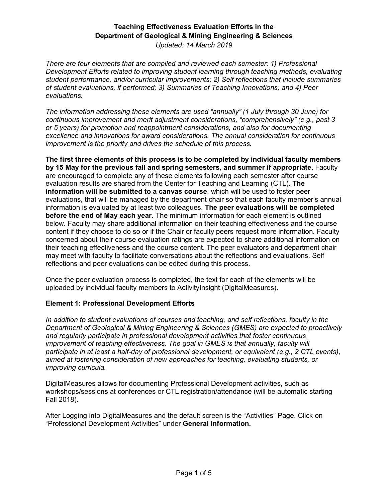*Updated: 14 March 2019*

*There are four elements that are compiled and reviewed each semester: 1) Professional Development Efforts related to improving student learning through teaching methods, evaluating student performance, and/or curricular improvements; 2) Self reflections that include summaries of student evaluations, if performed; 3) Summaries of Teaching Innovations; and 4) Peer evaluations.* 

*The information addressing these elements are used "annually" (1 July through 30 June) for continuous improvement and merit adjustment considerations, "comprehensively" (e.g., past 3 or 5 years) for promotion and reappointment considerations, and also for documenting excellence and innovations for award considerations. The annual consideration for continuous improvement is the priority and drives the schedule of this process.* 

**The first three elements of this process is to be completed by individual faculty members by 15 May for the previous fall and spring semesters, and summer if appropriate.** Faculty are encouraged to complete any of these elements following each semester after course evaluation results are shared from the Center for Teaching and Learning (CTL). **The information will be submitted to a canvas course**, which will be used to foster peer evaluations, that will be managed by the department chair so that each faculty member's annual information is evaluated by at least two colleagues. **The peer evaluations will be completed before the end of May each year.** The minimum information for each element is outlined below. Faculty may share additional information on their teaching effectiveness and the course content if they choose to do so or if the Chair or faculty peers request more information. Faculty concerned about their course evaluation ratings are expected to share additional information on their teaching effectiveness and the course content. The peer evaluators and department chair may meet with faculty to facilitate conversations about the reflections and evaluations. Self reflections and peer evaluations can be edited during this process.

Once the peer evaluation process is completed, the text for each of the elements will be uploaded by individual faculty members to ActivityInsight (DigitalMeasures).

#### **Element 1: Professional Development Efforts**

*In addition to student evaluations of courses and teaching, and self reflections, faculty in the Department of Geological & Mining Engineering & Sciences (GMES) are expected to proactively and regularly participate in professional development activities that foster continuous improvement of teaching effectiveness. The goal in GMES is that annually, faculty will participate in at least a half-day of professional development, or equivalent (e.g., 2 CTL events), aimed at fostering consideration of new approaches for teaching, evaluating students, or improving curricula.* 

DigitalMeasures allows for documenting Professional Development activities, such as workshops/sessions at conferences or CTL registration/attendance (will be automatic starting Fall 2018).

After Logging into DigitalMeasures and the default screen is the "Activities" Page. Click on "Professional Development Activities" under **General Information.**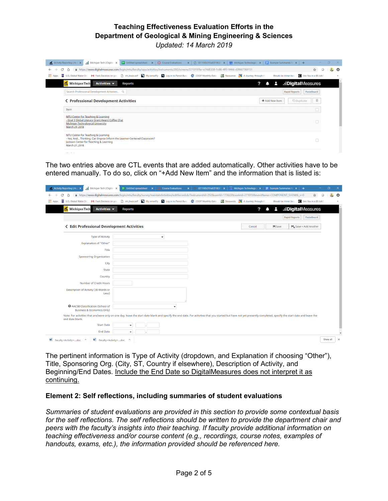

The two entries above are CTL events that are added automatically. Other activities have to be entered manually. To do so, click on "+Add New Item" and the information that is listed is:

| Michigan Tech   Digital X<br>Activity Reporting   Aca X                  | + Untitled spreadsheet x   € Course Evaluations x   <u>□</u>                                                                                                                                                        | GE1100L01Fall2018GE1 $\times$ 33 Michigan Technologica $\times$ $\equiv$ Example Summaries for $\times$ $+$ | $\Box$<br>×.          |
|--------------------------------------------------------------------------|---------------------------------------------------------------------------------------------------------------------------------------------------------------------------------------------------------------------|-------------------------------------------------------------------------------------------------------------|-----------------------|
| C<br>△                                                                   | A https://www.digitalmeasures.com/login/mtu/faculty/survey/maintainActivities/editRecord.do?instrumentId=292&userId=173622&nodeId=271019&eventName=COMPONENT_SHOW&_s=0                                              |                                                                                                             | ☆<br>$\circ$          |
| <b>III</b> Apps<br>霯                                                     | U.S. Global Water Stra M Fwd: Decision on you [ ] im_bwqr.pdf   My senseFly     Log in to Parrot Busin   © COOP Monthly Data   2   Besources   <a></a>                                                              | Would-be miner becceed Are You in a BS Job?                                                                 |                       |
| Michigan Tech<br>Activities $\blacktriangledown$                         | Reports                                                                                                                                                                                                             | .: DigitalMeasures<br>?<br>А                                                                                |                       |
|                                                                          |                                                                                                                                                                                                                     | <b>Rapid Reports</b>                                                                                        | PasteBoard            |
| <b>&lt; Edit Professional Development Activities</b>                     |                                                                                                                                                                                                                     | <b>H</b> Save<br>Cancel                                                                                     | HL Save + Add Another |
| <b>Type of Activity</b>                                                  | ۰                                                                                                                                                                                                                   |                                                                                                             |                       |
| Explanation of "Other"                                                   |                                                                                                                                                                                                                     |                                                                                                             |                       |
| Title                                                                    |                                                                                                                                                                                                                     |                                                                                                             |                       |
| <b>Sponsoring Organization</b>                                           |                                                                                                                                                                                                                     |                                                                                                             |                       |
| City                                                                     |                                                                                                                                                                                                                     |                                                                                                             |                       |
| State                                                                    |                                                                                                                                                                                                                     |                                                                                                             |                       |
| Country                                                                  |                                                                                                                                                                                                                     |                                                                                                             |                       |
| Number of Credit Hours                                                   |                                                                                                                                                                                                                     |                                                                                                             |                       |
| Description of Activity (30 Words or<br>Less)                            |                                                                                                                                                                                                                     |                                                                                                             |                       |
| AACSB Classification (School of<br><b>Business &amp; Economics Only)</b> | ٠                                                                                                                                                                                                                   |                                                                                                             |                       |
| end date blank.                                                          | Note: For activities that are/were only on one day, leave the start date blank and specify the end date. For activities that you started but have not yet presently completed, specify the start date and leave the |                                                                                                             |                       |
| <b>Start Date</b>                                                        |                                                                                                                                                                                                                     |                                                                                                             |                       |
| <b>End Date</b>                                                          |                                                                                                                                                                                                                     |                                                                                                             |                       |
| Faculty+Activity+doc ^<br>题 Faculty+Activity+doc                         | $\widehat{\phantom{a}}$                                                                                                                                                                                             |                                                                                                             | Show all<br>$\times$  |

The pertinent information is Type of Activity (dropdown, and Explanation if choosing "Other"), Title, Sponsoring Org. (City, ST, Country if elsewhere), Description of Activity, and Beginning/End Dates. Include the End Date so DigitalMeasures does not interpret it as continuing.

#### **Element 2: Self reflections, including summaries of student evaluations**

*Summaries of student evaluations are provided in this section to provide some contextual basis for the self reflections. The self reflections should be written to provide the department chair and peers with the faculty's insights into their teaching. If faculty provide additional information on teaching effectiveness and/or course content (e.g., recordings, course notes, examples of handouts, exams, etc.), the information provided should be referenced here.*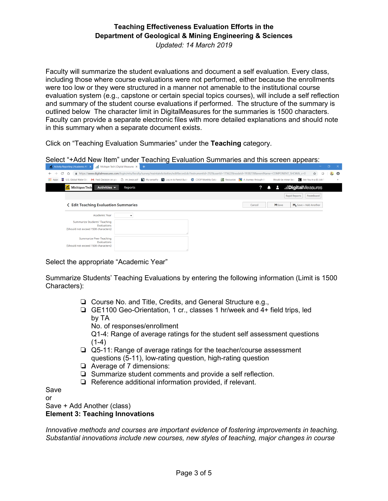Faculty will summarize the student evaluations and document a self evaluation. Every class, including those where course evaluations were not performed, either because the enrollments were too low or they were structured in a manner not amenable to the institutional course evaluation system (e.g., capstone or certain special topics courses), will include a self reflection and summary of the student course evaluations if performed. The structure of the summary is outlined below The character limit in DigitalMeasures for the summaries is 1500 characters. Faculty can provide a separate electronic files with more detailed explanations and should note in this summary when a separate document exists.

Click on "Teaching Evaluation Summaries" under the **Teaching** category.

Select "+Add New Item" under Teaching Evaluation Summaries and this screen appears:

| Attps://www.digitalmeasures.com/login/mtu/faculty/survey/maintainActivities/editRecord.do?instrumentId=2928userId=1736228nodeId=19382788teventName=COMPONENT_SHOW8L s=0<br>☆<br>C<br>$\circ$<br>$\rightarrow$<br>⇧<br>$\leftarrow$<br>훓 U.S. Global Water Strand His Prod: Decision on you n number politic multiple in My senseFly no log in to Parrot Busin ② COOP Monthly Data ( 2월 Resources e A Journey through the<br><b>III</b> Apps<br>Are You in a BS Job?<br>Would-be miner becc<br>$\mathbf{a}$<br><b>::DigitalMeasures</b><br>Michigan Tech<br>Activities $\blacktriangledown$<br>О<br>Reports<br><b>Rapid Reports</b><br>PasteBoard<br><b>&lt; Edit Teaching Evaluation Summaries</b><br><b>M</b> Save<br>HL Save + Add Another<br>Cancel<br><b>Academic Year</b><br>$\overline{\phantom{a}}$<br>Summarize Students' Teaching<br>Evaluations<br>(Should not exceed 1500 characters) | <b>A Activity Reporting   Academic All X</b> | <b>All Anchigan Tech   Digital Measures X   42</b> | .<br>- ^   |
|--------------------------------------------------------------------------------------------------------------------------------------------------------------------------------------------------------------------------------------------------------------------------------------------------------------------------------------------------------------------------------------------------------------------------------------------------------------------------------------------------------------------------------------------------------------------------------------------------------------------------------------------------------------------------------------------------------------------------------------------------------------------------------------------------------------------------------------------------------------------------------------------------|----------------------------------------------|----------------------------------------------------|------------|
|                                                                                                                                                                                                                                                                                                                                                                                                                                                                                                                                                                                                                                                                                                                                                                                                                                                                                                  |                                              |                                                    | <b>A</b> O |
|                                                                                                                                                                                                                                                                                                                                                                                                                                                                                                                                                                                                                                                                                                                                                                                                                                                                                                  |                                              |                                                    |            |
|                                                                                                                                                                                                                                                                                                                                                                                                                                                                                                                                                                                                                                                                                                                                                                                                                                                                                                  |                                              |                                                    |            |
|                                                                                                                                                                                                                                                                                                                                                                                                                                                                                                                                                                                                                                                                                                                                                                                                                                                                                                  |                                              |                                                    |            |
|                                                                                                                                                                                                                                                                                                                                                                                                                                                                                                                                                                                                                                                                                                                                                                                                                                                                                                  |                                              |                                                    |            |
|                                                                                                                                                                                                                                                                                                                                                                                                                                                                                                                                                                                                                                                                                                                                                                                                                                                                                                  |                                              |                                                    |            |
|                                                                                                                                                                                                                                                                                                                                                                                                                                                                                                                                                                                                                                                                                                                                                                                                                                                                                                  |                                              |                                                    |            |
|                                                                                                                                                                                                                                                                                                                                                                                                                                                                                                                                                                                                                                                                                                                                                                                                                                                                                                  |                                              |                                                    |            |
| Summarize Peer Teaching<br><b>Evaluations</b>                                                                                                                                                                                                                                                                                                                                                                                                                                                                                                                                                                                                                                                                                                                                                                                                                                                    |                                              |                                                    |            |
| (Should not exceed 1500 characters)                                                                                                                                                                                                                                                                                                                                                                                                                                                                                                                                                                                                                                                                                                                                                                                                                                                              |                                              |                                                    |            |

Select the appropriate "Academic Year"

Summarize Students' Teaching Evaluations by entering the following information (Limit is 1500 Characters):

- ❏ Course No. and Title, Credits, and General Structure e.g.,
- ❏ GE1100 Geo-Orientation, 1 cr., classes 1 hr/week and 4+ field trips, led by TA
	- No. of responses/enrollment

Q1-4: Range of average ratings for the student self assessment questions  $(1-4)$ 

- ❏ Q5-11: Range of average ratings for the teacher/course assessment questions (5-11), low-rating question, high-rating question
- ❏ Average of 7 dimensions:
- ❏ Summarize student comments and provide a self reflection.
- ❏ Reference additional information provided, if relevant.

Save

or

#### Save + Add Another (class) **Element 3: Teaching Innovations**

*Innovative methods and courses are important evidence of fostering improvements in teaching. Substantial innovations include new courses, new styles of teaching, major changes in course*